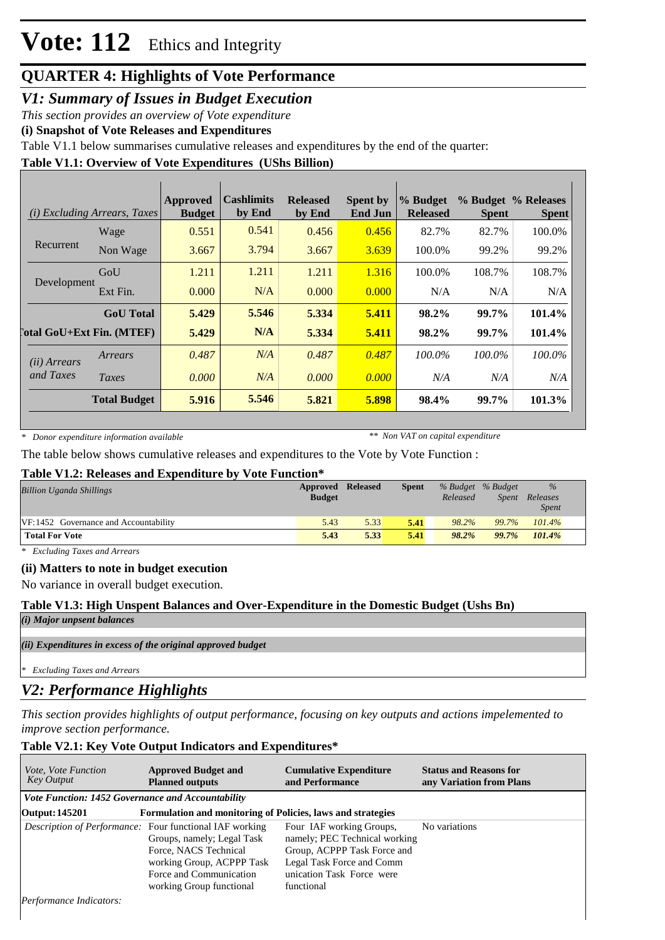## **QUARTER 4: Highlights of Vote Performance**

### *V1: Summary of Issues in Budget Execution*

*This section provides an overview of Vote expenditure*

**(i) Snapshot of Vote Releases and Expenditures**

Table V1.1 below summarises cumulative releases and expenditures by the end of the quarter:

### **Table V1.1: Overview of Vote Expenditures (UShs Billion)**

| (i)                                | <i>Excluding Arrears, Taxes</i> | Approved<br><b>Budget</b> | <b>Cashlimits</b><br>by End | <b>Released</b><br>by End | <b>Spent by</b><br><b>End Jun</b> | % Budget<br><b>Released</b> | <b>Spent</b> | % Budget % Releases<br><b>Spent</b> |
|------------------------------------|---------------------------------|---------------------------|-----------------------------|---------------------------|-----------------------------------|-----------------------------|--------------|-------------------------------------|
|                                    | Wage                            | 0.551                     | 0.541                       | 0.456                     | 0.456                             | 82.7%                       | 82.7%        | 100.0%                              |
| Recurrent                          | Non Wage                        | 3.667                     | 3.794                       | 3.667                     | 3.639                             | 100.0%                      | 99.2%        | 99.2%                               |
| Development                        | GoU                             | 1.211                     | 1.211                       | 1.211                     | 1.316                             | 100.0%                      | 108.7%       | 108.7%                              |
|                                    | Ext Fin.                        | 0.000                     | N/A                         | 0.000                     | 0.000                             | N/A                         | N/A          | N/A                                 |
|                                    | <b>GoU</b> Total                | 5.429                     | 5.546                       | 5.334                     | 5.411                             | 98.2%                       | 99.7%        | 101.4%                              |
| <b>Total GoU+Ext Fin. (MTEF)</b>   |                                 | 5.429                     | N/A                         | 5.334                     | 5.411                             | $98.2\%$                    | 99.7%        | 101.4%                              |
| ( <i>ii</i> ) Arrears<br>and Taxes | Arrears                         | 0.487                     | N/A                         | 0.487                     | 0.487                             | $100.0\%$                   | 100.0%       | 100.0%                              |
|                                    | Taxes                           | 0.000                     | N/A                         | 0.000                     | 0.000                             | N/A                         | N/A          | N/A                                 |
|                                    | <b>Total Budget</b>             | 5.916                     | 5.546                       | 5.821                     | 5.898                             | 98.4%                       | 99.7%        | 101.3%                              |

*\* Donor expenditure information available*

*\*\* Non VAT on capital expenditure*

The table below shows cumulative releases and expenditures to the Vote by Vote Function :

### **Table V1.2: Releases and Expenditure by Vote Function\***

| <b>Billion Uganda Shillings</b>       | <b>Approved Released</b><br><b>Budget</b> |      | <b>Spent</b> | Released | % Budget % Budget<br><i>Spent</i> | $\frac{9}{6}$<br>Releases |
|---------------------------------------|-------------------------------------------|------|--------------|----------|-----------------------------------|---------------------------|
|                                       |                                           |      |              |          |                                   | <b>Spent</b>              |
| VF:1452 Governance and Accountability | 5.43                                      | 5.33 | 5.41         | 98.2%    | 99.7%                             | 101.4%                    |
| <b>Total For Vote</b>                 | 5.43                                      | 5.33 | 5.41         | 98.2%    | 99.7%                             | 101.4%                    |

*\* Excluding Taxes and Arrears*

### **(ii) Matters to note in budget execution**

No variance in overall budget execution.

### **Table V1.3: High Unspent Balances and Over-Expenditure in the Domestic Budget (Ushs Bn)**

*(i) Major unpsent balances*

*(ii) Expenditures in excess of the original approved budget*

*\* Excluding Taxes and Arrears*

## *V2: Performance Highlights*

*This section provides highlights of output performance, focusing on key outputs and actions impelemented to improve section performance.*

### **Table V2.1: Key Vote Output Indicators and Expenditures\***

| <i>Vote, Vote Function</i><br>Key Output                                      | <b>Approved Budget and</b><br><b>Planned outputs</b>                                                                                                                                                      | <b>Cumulative Expenditure</b><br>and Performance                                                                                                                 | <b>Status and Reasons for</b><br>any Variation from Plans |  |  |  |  |  |  |
|-------------------------------------------------------------------------------|-----------------------------------------------------------------------------------------------------------------------------------------------------------------------------------------------------------|------------------------------------------------------------------------------------------------------------------------------------------------------------------|-----------------------------------------------------------|--|--|--|--|--|--|
| Vote Function: 1452 Governance and Accountability                             |                                                                                                                                                                                                           |                                                                                                                                                                  |                                                           |  |  |  |  |  |  |
| Output: 145201<br>Formulation and monitoring of Policies, laws and strategies |                                                                                                                                                                                                           |                                                                                                                                                                  |                                                           |  |  |  |  |  |  |
|                                                                               | <i>Description of Performance:</i> Four functional IAF working<br>Groups, namely; Legal Task<br>Force, NACS Technical<br>working Group, ACPPP Task<br>Force and Communication<br>working Group functional | Four IAF working Groups,<br>namely; PEC Technical working<br>Group, ACPPP Task Force and<br>Legal Task Force and Comm<br>unication Task Force were<br>functional | No variations                                             |  |  |  |  |  |  |
| Performance Indicators:                                                       |                                                                                                                                                                                                           |                                                                                                                                                                  |                                                           |  |  |  |  |  |  |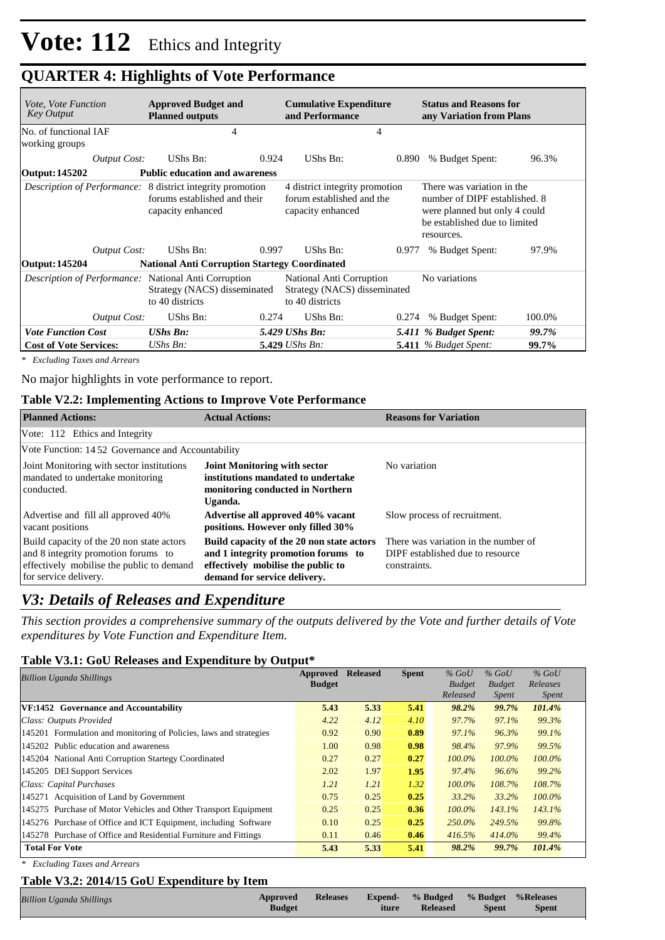## **QUARTER 4: Highlights of Vote Performance**

| <i>Vote, Vote Function</i><br>Key Output                    | <b>Approved Budget and</b><br><b>Planned outputs</b>                                                                   | <b>Cumulative Expenditure</b><br>and Performance                                 |       | <b>Status and Reasons for</b><br>any Variation from Plans                                                                                   |        |  |
|-------------------------------------------------------------|------------------------------------------------------------------------------------------------------------------------|----------------------------------------------------------------------------------|-------|---------------------------------------------------------------------------------------------------------------------------------------------|--------|--|
| No. of functional IAF<br>working groups                     | 4                                                                                                                      | 4                                                                                |       |                                                                                                                                             |        |  |
| Output Cost:                                                | UShs Bn:<br>0.924                                                                                                      | UShs Bn:                                                                         | 0.890 | % Budget Spent:                                                                                                                             | 96.3%  |  |
| <b>Output: 145202</b>                                       | <b>Public education and awareness</b>                                                                                  |                                                                                  |       |                                                                                                                                             |        |  |
|                                                             | <i>Description of Performance:</i> 8 district integrity promotion<br>forums established and their<br>capacity enhanced | 4 district integrity promotion<br>forum established and the<br>capacity enhanced |       | There was variation in the<br>number of DIPF established, 8<br>were planned but only 4 could<br>be established due to limited<br>resources. |        |  |
| Output Cost:                                                | UShs Bn:<br>0.997                                                                                                      | UShs Bn:                                                                         | 0.977 | % Budget Spent:                                                                                                                             | 97.9%  |  |
| Output: 145204                                              | <b>National Anti Corruption Startegy Coordinated</b>                                                                   |                                                                                  |       |                                                                                                                                             |        |  |
| <i>Description of Performance:</i> National Anti Corruption | Strategy (NACS) disseminated<br>to 40 districts                                                                        | National Anti Corruption<br>Strategy (NACS) disseminated<br>to 40 districts      |       | No variations                                                                                                                               |        |  |
| <b>Output Cost:</b>                                         | UShs Bn:<br>0.274                                                                                                      | UShs Bn:                                                                         | 0.274 | % Budget Spent:                                                                                                                             | 100.0% |  |
| <b>Vote Function Cost</b>                                   | <b>UShs Bn:</b>                                                                                                        | 5.429 UShs Bn:                                                                   |       | 5.411 % Budget Spent:                                                                                                                       | 99.7%  |  |
| <b>Cost of Vote Services:</b>                               | $UShs Bn$ :                                                                                                            | 5.429 <i>UShs Bn</i> :                                                           |       | 5.411 % Budget Spent:                                                                                                                       | 99.7%  |  |

*\* Excluding Taxes and Arrears*

No major highlights in vote performance to report.

#### **Table V2.2: Implementing Actions to Improve Vote Performance**

| <b>Planned Actions:</b>                                                                                                                                | <b>Actual Actions:</b>                                                                                                                                 | <b>Reasons for Variation</b>                                                             |  |  |  |  |  |
|--------------------------------------------------------------------------------------------------------------------------------------------------------|--------------------------------------------------------------------------------------------------------------------------------------------------------|------------------------------------------------------------------------------------------|--|--|--|--|--|
| Vote: 112 Ethics and Integrity                                                                                                                         |                                                                                                                                                        |                                                                                          |  |  |  |  |  |
| Vote Function: 1452 Governance and Accountability                                                                                                      |                                                                                                                                                        |                                                                                          |  |  |  |  |  |
| Joint Monitoring with sector institutions<br>mandated to undertake monitoring<br>conducted.                                                            | <b>Joint Monitoring with sector</b><br>institutions mandated to undertake<br>monitoring conducted in Northern<br>Uganda.                               | No variation                                                                             |  |  |  |  |  |
| Advertise and fill all approved 40%<br>vacant positions                                                                                                | Advertise all approved 40% vacant<br>positions. However only filled 30%                                                                                | Slow process of recruitment.                                                             |  |  |  |  |  |
| Build capacity of the 20 non state actors<br>and 8 integrity promotion forums to<br>effectively mobilise the public to demand<br>for service delivery. | Build capacity of the 20 non state actors<br>and 1 integrity promotion forums to<br>effectively mobilise the public to<br>demand for service delivery. | There was variation in the number of<br>DIPF established due to resource<br>constraints. |  |  |  |  |  |

### *V3: Details of Releases and Expenditure*

*This section provides a comprehensive summary of the outputs delivered by the Vote and further details of Vote expenditures by Vote Function and Expenditure Item.*

#### **Table V3.1: GoU Releases and Expenditure by Output\***

| Billion Uganda Shillings                                           | Approved      | <b>Released</b> | <b>Spent</b> | $%$ GoU                   | $%$ GoU                       | $%$ GoU<br>Releases |  |
|--------------------------------------------------------------------|---------------|-----------------|--------------|---------------------------|-------------------------------|---------------------|--|
|                                                                    | <b>Budget</b> |                 |              | <b>Budget</b><br>Released | <b>Budget</b><br><i>Spent</i> | <i>Spent</i>        |  |
| VF:1452 Governance and Accountability                              | 5.43          | 5.33            | 5.41         | 98.2%                     | 99.7%                         | 101.4%              |  |
| Class: Outputs Provided                                            | 4.22          | 4.12            | 4.10         | 97.7%                     | 97.1%                         | 99.3%               |  |
| 145201 Formulation and monitoring of Policies, laws and strategies | 0.92          | 0.90            | 0.89         | 97.1%                     | 96.3%                         | 99.1%               |  |
| 145202 Public education and awareness                              | 1.00          | 0.98            | 0.98         | 98.4%                     | 97.9%                         | 99.5%               |  |
| 145204 National Anti Corruption Startegy Coordinated               | 0.27          | 0.27            | 0.27         | $100.0\%$                 | $100.0\%$                     | $100.0\%$           |  |
| 145205 DEI Support Services                                        | 2.02          | 1.97            | 1.95         | 97.4%                     | 96.6%                         | 99.2%               |  |
| Class: Capital Purchases                                           | 1.21          | 1.21            | 1.32         | $100.0\%$                 | 108.7%                        | 108.7%              |  |
| 145271 Acquisition of Land by Government                           | 0.75          | 0.25            | 0.25         | 33.2%                     | 33.2%                         | $100.0\%$           |  |
| 145275 Purchase of Motor Vehicles and Other Transport Equipment    | 0.25          | 0.25            | 0.36         | 100.0%                    | 143.1%                        | 143.1%              |  |
| 145276 Purchase of Office and ICT Equipment, including Software    | 0.10          | 0.25            | 0.25         | 250.0%                    | 249.5%                        | 99.8%               |  |
| 145278 Purchase of Office and Residential Furniture and Fittings   | 0.11          | 0.46            | 0.46         | 416.5%                    | 414.0%                        | 99.4%               |  |
| <b>Total For Vote</b>                                              | 5.43          | 5.33            | 5.41         | 98.2%                     | 99.7%                         | 101.4%              |  |
| <b>Excluding Taxes and Arrears</b><br>∗                            |               |                 |              |                           |                               |                     |  |
| Table V3.2: 2014/15 GoU Expenditure by Item                        |               |                 |              |                           |                               |                     |  |

| <b>Billion Uganda Shillings</b> | Approved Releases Expend- % Budged % Budget % Releases |       |                 |       |              |  |
|---------------------------------|--------------------------------------------------------|-------|-----------------|-------|--------------|--|
|                                 | <b>Budget</b>                                          | iture | <b>Released</b> | Spent | <b>Spent</b> |  |